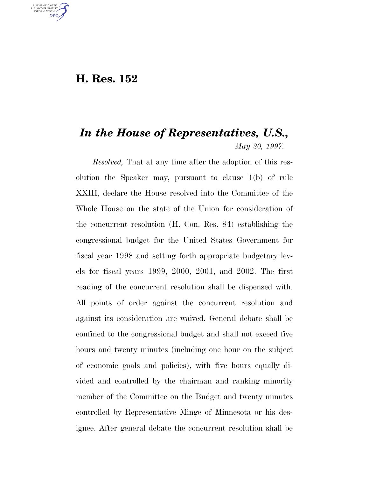## **H. Res. 152**

U.S. GOVERNMENT **GPO** 

## *In the House of Representatives, U.S., May 20, 1997.*

*Resolved,* That at any time after the adoption of this resolution the Speaker may, pursuant to clause 1(b) of rule XXIII, declare the House resolved into the Committee of the Whole House on the state of the Union for consideration of the concurrent resolution (H. Con. Res. 84) establishing the congressional budget for the United States Government for fiscal year 1998 and setting forth appropriate budgetary levels for fiscal years 1999, 2000, 2001, and 2002. The first reading of the concurrent resolution shall be dispensed with. All points of order against the concurrent resolution and against its consideration are waived. General debate shall be confined to the congressional budget and shall not exceed five hours and twenty minutes (including one hour on the subject of economic goals and policies), with five hours equally divided and controlled by the chairman and ranking minority member of the Committee on the Budget and twenty minutes controlled by Representative Minge of Minnesota or his designee. After general debate the concurrent resolution shall be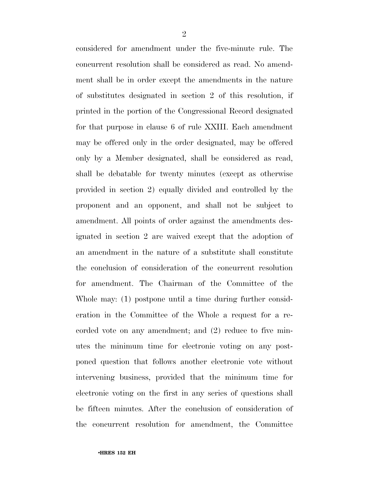considered for amendment under the five-minute rule. The concurrent resolution shall be considered as read. No amendment shall be in order except the amendments in the nature of substitutes designated in section 2 of this resolution, if printed in the portion of the Congressional Record designated for that purpose in clause 6 of rule XXIII. Each amendment may be offered only in the order designated, may be offered only by a Member designated, shall be considered as read, shall be debatable for twenty minutes (except as otherwise provided in section 2) equally divided and controlled by the proponent and an opponent, and shall not be subject to amendment. All points of order against the amendments designated in section 2 are waived except that the adoption of an amendment in the nature of a substitute shall constitute the conclusion of consideration of the concurrent resolution for amendment. The Chairman of the Committee of the Whole may: (1) postpone until a time during further consideration in the Committee of the Whole a request for a recorded vote on any amendment; and (2) reduce to five minutes the minimum time for electronic voting on any postponed question that follows another electronic vote without intervening business, provided that the minimum time for electronic voting on the first in any series of questions shall be fifteen minutes. After the conclusion of consideration of the concurrent resolution for amendment, the Committee